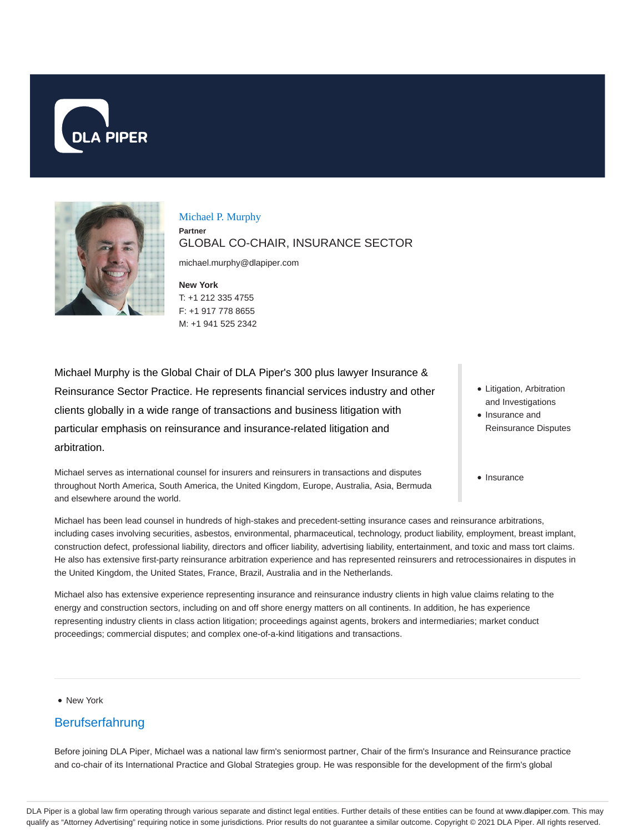



Michael P. Murphy

**Partner** GLOBAL CO-CHAIR, INSURANCE SECTOR

michael.murphy@dlapiper.com

**New York** T: +1 212 335 4755 F: +1 917 778 8655 M: +1 941 525 2342

Michael Murphy is the Global Chair of DLA Piper's 300 plus lawyer Insurance & Reinsurance Sector Practice. He represents financial services industry and other clients globally in a wide range of transactions and business litigation with particular emphasis on reinsurance and insurance-related litigation and arbitration.

Michael serves as international counsel for insurers and reinsurers in transactions and disputes throughout North America, South America, the United Kingdom, Europe, Australia, Asia, Bermuda and elsewhere around the world.

- Litigation, Arbitration and Investigations
- Insurance and Reinsurance Disputes
- Insurance

Michael has been lead counsel in hundreds of high-stakes and precedent-setting insurance cases and reinsurance arbitrations, including cases involving securities, asbestos, environmental, pharmaceutical, technology, product liability, employment, breast implant, construction defect, professional liability, directors and officer liability, advertising liability, entertainment, and toxic and mass tort claims. He also has extensive first-party reinsurance arbitration experience and has represented reinsurers and retrocessionaires in disputes in the United Kingdom, the United States, France, Brazil, Australia and in the Netherlands.

Michael also has extensive experience representing insurance and reinsurance industry clients in high value claims relating to the energy and construction sectors, including on and off shore energy matters on all continents. In addition, he has experience representing industry clients in class action litigation; proceedings against agents, brokers and intermediaries; market conduct proceedings; commercial disputes; and complex one-of-a-kind litigations and transactions.

#### • New York

# **Berufserfahrung**

Before joining DLA Piper, Michael was a national law firm's seniormost partner, Chair of the firm's Insurance and Reinsurance practice and co-chair of its International Practice and Global Strategies group. He was responsible for the development of the firm's global

DLA Piper is a global law firm operating through various separate and distinct legal entities. Further details of these entities can be found at www.dlapiper.com. This may qualify as "Attorney Advertising" requiring notice in some jurisdictions. Prior results do not guarantee a similar outcome. Copyright © 2021 DLA Piper. All rights reserved.